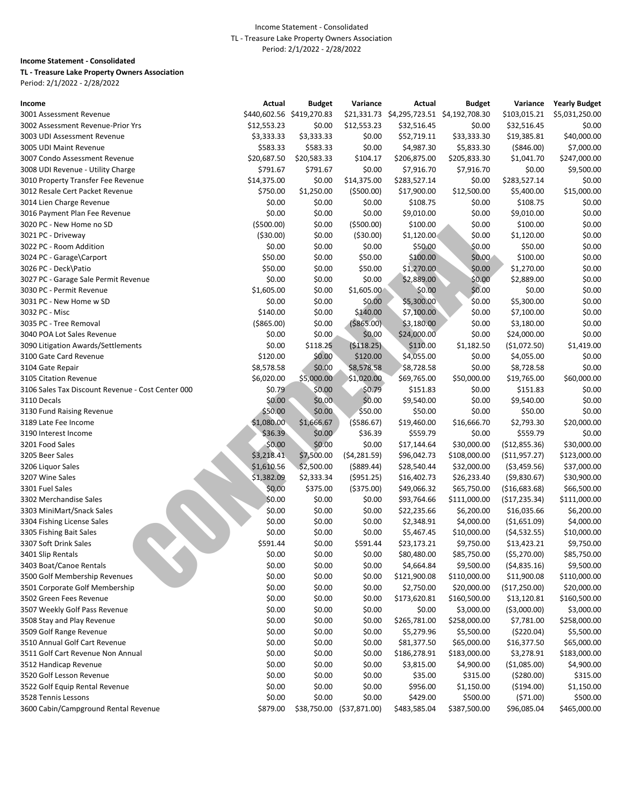### Income Statement - Consolidated

### TL - Treasure Lake Property Owners Association

Period: 2/1/2022 - 2/28/2022

| Income                                                      | Actual       | Budget       | Variance                  | Actual                     | <b>Budget</b>             | Variance                     | <b>Yearly Budget</b> |
|-------------------------------------------------------------|--------------|--------------|---------------------------|----------------------------|---------------------------|------------------------------|----------------------|
| 3001 Assessment Revenue                                     | \$440,602.56 | \$419,270.83 |                           | \$21,331.73 \$4,295,723.51 | \$4,192,708.30            | \$103,015.21                 | \$5,031,250.00       |
| 3002 Assessment Revenue-Prior Yrs                           | \$12,553.23  | \$0.00       | \$12,553.23               | \$32,516.45                | \$0.00                    | \$32,516.45                  | \$0.00               |
| 3003 UDI Assessment Revenue                                 | \$3,333.33   | \$3,333.33   | \$0.00                    | \$52,719.11                | \$33,333.30               | \$19,385.81                  | \$40,000.00          |
| 3005 UDI Maint Revenue                                      | \$583.33     | \$583.33     | \$0.00                    | \$4,987.30                 | \$5,833.30                | ( \$846.00)                  | \$7,000.00           |
| 3007 Condo Assessment Revenue                               | \$20,687.50  | \$20,583.33  | \$104.17                  | \$206,875.00               | \$205,833.30              | \$1,041.70                   | \$247,000.00         |
| 3008 UDI Revenue - Utility Charge                           | \$791.67     | \$791.67     | \$0.00                    | \$7,916.70                 | \$7,916.70                | \$0.00                       | \$9,500.00           |
| 3010 Property Transfer Fee Revenue                          | \$14,375.00  | \$0.00       | \$14,375.00               | \$283,527.14               | \$0.00                    | \$283,527.14                 | \$0.00               |
| 3012 Resale Cert Packet Revenue                             | \$750.00     | \$1,250.00   | ( \$500.00)               | \$17,900.00                | \$12,500.00               | \$5,400.00                   | \$15,000.00          |
| 3014 Lien Charge Revenue                                    | \$0.00       | \$0.00       | \$0.00                    | \$108.75                   | \$0.00                    | \$108.75                     | \$0.00               |
| 3016 Payment Plan Fee Revenue                               | \$0.00       | \$0.00       | \$0.00                    | \$9,010.00                 | \$0.00                    | \$9,010.00                   | \$0.00               |
| 3020 PC - New Home no SD                                    | ( \$500.00)  | \$0.00       | ( \$500.00)               | \$100.00                   | \$0.00                    | \$100.00                     | \$0.00               |
| 3021 PC - Driveway                                          | ( \$30.00)   | \$0.00       | ( \$30.00)                | \$1,120.00                 | \$0.00                    | \$1,120.00                   | \$0.00               |
| 3022 PC - Room Addition                                     | \$0.00       | \$0.00       | \$0.00                    | \$50.00                    | \$0.00                    | \$50.00                      | \$0.00               |
| 3024 PC - Garage\Carport                                    | \$50.00      | \$0.00       | \$50.00                   | \$100.00                   | \$0.00                    | \$100.00                     | \$0.00               |
| 3026 PC - Deck\Patio                                        | \$50.00      | \$0.00       | \$50.00                   | \$1,270.00                 | \$0.00                    | \$1,270.00                   | \$0.00               |
| 3027 PC - Garage Sale Permit Revenue                        | \$0.00       | \$0.00       | \$0.00                    | \$2,889.00                 | \$0.00                    | \$2,889.00                   | \$0.00               |
| 3030 PC - Permit Revenue                                    | \$1,605.00   | \$0.00       | \$1,605.00                | \$0.00                     | \$0.00                    | \$0.00                       | \$0.00               |
| 3031 PC - New Home w SD                                     | \$0.00       | \$0.00       | \$0.00                    | \$5,300.00                 | \$0.00                    | \$5,300.00                   | \$0.00               |
| 3032 PC - Misc                                              | \$140.00     | \$0.00       | \$140.00                  | \$7,100.00                 | \$0.00                    | \$7,100.00                   | \$0.00               |
| 3035 PC - Tree Removal                                      | ( \$865.00)  | \$0.00       | ( \$865.00)               | \$3,180.00                 | \$0.00                    | \$3,180.00                   | \$0.00               |
| 3040 POA Lot Sales Revenue                                  | \$0.00       | \$0.00       | \$0.00                    | \$24,000.00                | \$0.00                    | \$24,000.00                  | \$0.00               |
| 3090 Litigation Awards/Settlements                          | \$0.00       | \$118.25     | ( \$118.25)               | \$110.00                   | \$1,182.50                | ( \$1,072.50)                | \$1,419.00           |
| 3100 Gate Card Revenue                                      | \$120.00     | \$0.00       | \$120.00                  | \$4,055.00                 | \$0.00                    | \$4,055.00                   | \$0.00               |
| 3104 Gate Repair                                            | \$8,578.58   | \$0.00       | \$8,578.58                | \$8,728.58                 | \$0.00                    | \$8,728.58                   | \$0.00               |
| 3105 Citation Revenue                                       | \$6,020.00   | \$5,000.00   | \$1,020.00                | \$69,765.00                | \$50,000.00               | \$19,765.00                  | \$60,000.00          |
| 3106 Sales Tax Discount Revenue - Cost Center 000           | \$0.79       | \$0.00       | \$0.79                    | \$151.83                   | \$0.00                    | \$151.83                     | \$0.00               |
| 3110 Decals                                                 | \$0.00       | \$0.00       | \$0.00                    | \$9,540.00                 | \$0.00                    | \$9,540.00                   | \$0.00               |
| 3130 Fund Raising Revenue                                   | \$50.00      | \$0.00       | \$50.00                   | \$50.00                    | \$0.00                    | \$50.00                      | \$0.00               |
| 3189 Late Fee Income                                        | \$1,080.00   | \$1,666.67   | ( \$586.67)               | \$19,460.00                | \$16,666.70               | \$2,793.30                   | \$20,000.00          |
| 3190 Interest Income                                        | \$36.39      | \$0.00       | \$36.39                   | \$559.79                   | \$0.00                    | \$559.79                     | \$0.00               |
| 3201 Food Sales                                             | \$0.00       | \$0.00       | \$0.00                    | \$17,144.64                | \$30,000.00               | (\$12,855.36)                | \$30,000.00          |
| 3205 Beer Sales                                             | \$3,218.41   | \$7,500.00   | (54, 281.59)              | \$96,042.73                | \$108,000.00              | ( \$11,957.27)               | \$123,000.00         |
| 3206 Liquor Sales                                           | \$1,610.56   | \$2,500.00   | ( \$889.44)               | \$28,540.44                | \$32,000.00               | ( \$3,459.56)                | \$37,000.00          |
| 3207 Wine Sales                                             | \$1,382.09   | \$2,333.34   | ( \$951.25)               | \$16,402.73                | \$26,233.40               | (59,830.67)                  | \$30,900.00          |
| 3301 Fuel Sales                                             | \$0.00       | \$375.00     | ( \$375.00)               | \$49,066.32                | \$65,750.00               | ( \$16,683.68)               | \$66,500.00          |
| 3302 Merchandise Sales                                      | \$0.00       | \$0.00       | \$0.00                    | \$93,764.66                | \$111,000.00              | (\$17,235.34)                | \$111,000.00         |
| 3303 MiniMart/Snack Sales                                   | \$0.00       | \$0.00       | \$0.00                    | \$22,235.66                | \$6,200.00                | \$16,035.66                  | \$6,200.00           |
| 3304 Fishing License Sales                                  | \$0.00       | \$0.00       | \$0.00                    | \$2,348.91                 | \$4,000.00                | ( \$1,651.09)                | \$4,000.00           |
| 3305 Fishing Bait Sales                                     | \$0.00       | \$0.00       | \$0.00                    | \$5,467.45                 | \$10,000.00               | (54, 532.55)                 | \$10,000.00          |
| 3307 Soft Drink Sales                                       | \$591.44     | \$0.00       | \$591.44                  | \$23,173.21                | \$9,750.00                | \$13,423.21                  | \$9,750.00           |
| 3401 Slip Rentals                                           | \$0.00       | \$0.00       | \$0.00                    | \$80,480.00                |                           |                              | \$85,750.00          |
| 3403 Boat/Canoe Rentals                                     | \$0.00       | \$0.00       | \$0.00                    | \$4,664.84                 | \$85,750.00<br>\$9,500.00 | ( \$5,270.00)<br>(54,835.16) | \$9,500.00           |
| 3500 Golf Membership Revenues                               | \$0.00       | \$0.00       | \$0.00                    | \$121,900.08               | \$110,000.00              | \$11,900.08                  | \$110,000.00         |
| 3501 Corporate Golf Membership                              | \$0.00       | \$0.00       | \$0.00                    | \$2,750.00                 | \$20,000.00               |                              | \$20,000.00          |
|                                                             |              |              |                           |                            |                           | (\$17,250.00)                |                      |
| 3502 Green Fees Revenue                                     | \$0.00       | \$0.00       | \$0.00                    | \$173,620.81               | \$160,500.00              | \$13,120.81                  | \$160,500.00         |
| 3507 Weekly Golf Pass Revenue<br>3508 Stay and Play Revenue | \$0.00       | \$0.00       | \$0.00                    | \$0.00                     | \$3,000.00                | ( \$3,000.00)                | \$3,000.00           |
|                                                             | \$0.00       | \$0.00       | \$0.00                    | \$265,781.00               | \$258,000.00              | \$7,781.00                   | \$258,000.00         |
| 3509 Golf Range Revenue                                     | \$0.00       | \$0.00       | \$0.00                    | \$5,279.96                 | \$5,500.00                | ( \$220.04)                  | \$5,500.00           |
| 3510 Annual Golf Cart Revenue                               | \$0.00       | \$0.00       | \$0.00                    | \$81,377.50                | \$65,000.00               | \$16,377.50                  | \$65,000.00          |
| 3511 Golf Cart Revenue Non Annual                           | \$0.00       | \$0.00       | \$0.00                    | \$186,278.91               | \$183,000.00              | \$3,278.91                   | \$183,000.00         |
| 3512 Handicap Revenue                                       | \$0.00       | \$0.00       | \$0.00                    | \$3,815.00                 | \$4,900.00                | (\$1,085.00)                 | \$4,900.00           |
| 3520 Golf Lesson Revenue                                    | \$0.00       | \$0.00       | \$0.00                    | \$35.00                    | \$315.00                  | (5280.00)                    | \$315.00             |
| 3522 Golf Equip Rental Revenue                              | \$0.00       | \$0.00       | \$0.00                    | \$956.00                   | \$1,150.00                | ( \$194.00)                  | \$1,150.00           |
| 3528 Tennis Lessons                                         | \$0.00       | \$0.00       | \$0.00                    | \$429.00                   | \$500.00                  | (571.00)                     | \$500.00             |
| 3600 Cabin/Campground Rental Revenue                        | \$879.00     |              | \$38,750.00 (\$37,871.00) | \$483,585.04               | \$387,500.00              | \$96,085.04                  | \$465,000.00         |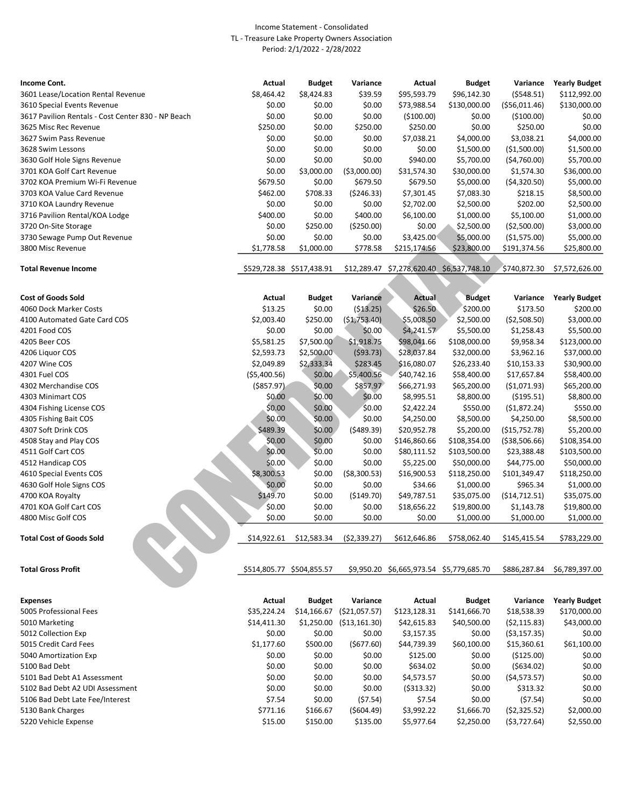| Income Cont.                                       | Actual     | <b>Budget</b>             | Variance      | Actual       | <b>Budget</b>                 | Variance      | <b>Yearly Budget</b> |
|----------------------------------------------------|------------|---------------------------|---------------|--------------|-------------------------------|---------------|----------------------|
| 3601 Lease/Location Rental Revenue                 | \$8,464.42 | \$8,424.83                | \$39.59       | \$95,593.79  | \$96,142.30                   | (5548.51)     | \$112,992.00         |
| 3610 Special Events Revenue                        | \$0.00     | \$0.00                    | \$0.00        | \$73,988.54  | \$130,000.00                  | (\$56,011.46) | \$130,000.00         |
| 3617 Pavilion Rentals - Cost Center 830 - NP Beach | \$0.00     | \$0.00                    | \$0.00        | ( \$100.00)  | \$0.00                        | (5100.00)     | \$0.00               |
| 3625 Misc Rec Revenue                              | \$250.00   | \$0.00                    | \$250.00      | \$250.00     | \$0.00                        | \$250.00      | \$0.00               |
| 3627 Swim Pass Revenue                             | \$0.00     | \$0.00                    | \$0.00        | \$7,038.21   | \$4,000.00                    | \$3,038.21    | \$4,000.00           |
| 3628 Swim Lessons                                  | \$0.00     | \$0.00                    | \$0.00        | \$0.00       | \$1,500.00                    | ( \$1,500.00) | \$1,500.00           |
| 3630 Golf Hole Signs Revenue                       | \$0.00     | \$0.00                    | \$0.00        | \$940.00     | \$5,700.00                    | (54,760.00)   | \$5,700.00           |
| 3701 KOA Golf Cart Revenue                         | \$0.00     | \$3,000.00                | ( \$3,000.00) | \$31,574.30  | \$30,000.00                   | \$1,574.30    | \$36,000.00          |
| 3702 KOA Premium Wi-Fi Revenue                     | \$679.50   | \$0.00                    | \$679.50      | \$679.50     | \$5,000.00                    | (54,320.50)   | \$5,000.00           |
| 3703 KOA Value Card Revenue                        | \$462.00   | \$708.33                  | (5246.33)     | \$7,301.45   | \$7,083.30                    | \$218.15      | \$8,500.00           |
| 3710 KOA Laundry Revenue                           | \$0.00     | \$0.00                    | \$0.00        | \$2,702.00   | \$2,500.00                    | \$202.00      | \$2,500.00           |
| 3716 Pavilion Rental/KOA Lodge                     | \$400.00   | \$0.00                    | \$400.00      | \$6,100.00   | \$1,000.00                    | \$5,100.00    | \$1,000.00           |
| 3720 On-Site Storage                               | \$0.00     | \$250.00                  | ( \$250.00)   | \$0.00       | \$2,500.00                    | ( \$2,500.00) | \$3,000.00           |
| 3730 Sewage Pump Out Revenue                       | \$0.00     | \$0.00                    | \$0.00        | \$3,425.00   | \$5,000.00                    | (51, 575.00)  | \$5,000.00           |
| 3800 Misc Revenue                                  | \$1,778.58 | \$1,000.00                | \$778.58      | \$215,174.56 | \$23,800.00                   | \$191,374.56  | \$25,800.00          |
|                                                    |            |                           |               |              |                               |               |                      |
| <b>Total Revenue Income</b>                        |            | \$529,728.38 \$517,438.91 | \$12,289.47   |              | \$7,278,620.40 \$6,537,748.10 | \$740,872.30  | \$7,572,626.00       |

| 3720 On-Site Storage            | \$0.00        | \$250.00                  | ( \$250.00)    | \$0.00                                    | \$2,500.00    | ( \$2,500.00)                                                              | \$3,000.00             |
|---------------------------------|---------------|---------------------------|----------------|-------------------------------------------|---------------|----------------------------------------------------------------------------|------------------------|
| 3730 Sewage Pump Out Revenue    | \$0.00        | \$0.00                    | \$0.00         | \$3,425.00                                | \$5,000.00    | (\$1,575.00)                                                               | \$5,000.00             |
| 3800 Misc Revenue               | \$1,778.58    | \$1,000.00                | \$778.58       | \$215,174.56                              | \$23,800.00   | \$191,374.56                                                               | \$25,800.00            |
|                                 |               |                           |                |                                           |               |                                                                            |                        |
| <b>Total Revenue Income</b>     |               | \$529,728.38 \$517,438.91 |                | \$12,289.47 \$7,278,620.40 \$6,537,748.10 |               | \$740,872.30                                                               | \$7,572,626.00         |
|                                 |               |                           |                |                                           |               |                                                                            |                        |
| <b>Cost of Goods Sold</b>       | Actual        | <b>Budget</b>             | Variance       | <b>Actual</b>                             | <b>Budget</b> | Variance                                                                   | <b>Yearly Budget</b>   |
| 4060 Dock Marker Costs          | \$13.25       | \$0.00                    | ( \$13.25)     | \$26.50                                   | \$200.00      | \$173.50                                                                   | \$200.00               |
| 4100 Automated Gate Card COS    | \$2,003.40    | \$250.00                  | (51, 753.40)   | \$5,008.50                                | \$2,500.00    | ( \$2,508.50)                                                              | \$3,000.00             |
| 4201 Food COS                   | \$0.00        | \$0.00                    | \$0.00         | \$4,241.57                                | \$5,500.00    | \$1,258.43                                                                 | \$5,500.00             |
| 4205 Beer COS                   | \$5,581.25    | \$7,500.00                | \$1,918.75     | \$98,041.66                               | \$108,000.00  | \$9,958.34                                                                 | \$123,000.00           |
| 4206 Liquor COS                 | \$2,593.73    | \$2,500.00                | (593.73)       | \$28,037.84                               | \$32,000.00   | \$3,962.16                                                                 | \$37,000.00            |
| 4207 Wine COS                   | \$2,049.89    | \$2,333.34                | \$283.45       | \$16,080.07                               | \$26,233.40   | \$10,153.33                                                                | \$30,900.00            |
| 4301 Fuel COS                   | ( \$5,400.56) | \$0.00                    | \$5,400.56     | \$40,742.16                               | \$58,400.00   | \$17,657.84                                                                | \$58,400.00            |
| 4302 Merchandise COS            | $($ \$857.97) | \$0.00                    | \$857.97       | \$66,271.93                               | \$65,200.00   | ( \$1,071.93)                                                              | \$65,200.00            |
| 4303 Minimart COS               | \$0.00        | \$0.00                    | \$0.00         | \$8,995.51                                | \$8,800.00    | ( \$195.51)                                                                | \$8,800.00             |
| 4304 Fishing License COS        | \$0.00        | \$0.00                    | \$0.00         | \$2,422.24                                | \$550.00      | (51,872.24)                                                                | \$550.00               |
| 4305 Fishing Bait COS           | \$0.00        | \$0.00                    | \$0.00         | \$4,250.00                                | \$8,500.00    | \$4,250.00                                                                 | \$8,500.00             |
| 4307 Soft Drink COS             | \$489.39      | \$0.00                    | (5489.39)      | \$20,952.78                               | \$5,200.00    | ( \$15,752.78)                                                             | \$5,200.00             |
| 4508 Stay and Play COS          | \$0.00        | \$0.00                    | \$0.00         | \$146,860.66                              | \$108,354.00  | ( \$38,506.66)                                                             | \$108,354.00           |
| 4511 Golf Cart COS              | \$0.00        | \$0.00                    | \$0.00         | \$80,111.52                               | \$103,500.00  | \$23,388.48                                                                | \$103,500.00           |
| 4512 Handicap COS               | \$0.00        | \$0.00                    | \$0.00         | \$5,225.00                                | \$50,000.00   | \$44,775.00                                                                | \$50,000.00            |
| 4610 Special Events COS         | \$8,300.53    | \$0.00                    | ( \$8,300.53)  | \$16,900.53                               | \$118,250.00  | \$101,349.47                                                               | \$118,250.00           |
| 4630 Golf Hole Signs COS        | \$0.00        | \$0.00                    | \$0.00         | \$34.66                                   | \$1,000.00    | \$965.34                                                                   | \$1,000.00             |
| 4700 KOA Royalty                | \$149.70      | \$0.00                    | ( \$149.70)    | \$49,787.51                               | \$35,075.00   | (514, 712.51)                                                              | \$35,075.00            |
| 4701 KOA Golf Cart COS          | \$0.00        | \$0.00                    | \$0.00         | \$18,656.22                               | \$19,800.00   | \$1,143.78                                                                 | \$19,800.00            |
| 4800 Misc Golf COS              | \$0.00        | \$0.00                    | \$0.00         | \$0.00                                    | \$1,000.00    | \$1,000.00                                                                 | \$1,000.00             |
| <b>Total Cost of Goods Sold</b> | \$14,922.61   | \$12,583.34               | (52, 339.27)   | \$612,646.86                              | \$758,062.40  | \$145,415.54                                                               | \$783,229.00           |
| <b>Total Gross Profit</b>       |               | \$514,805.77 \$504,855.57 |                | \$9,950.20 \$6,665,973.54 \$5,779,685.70  |               | \$886,287.84                                                               | \$6,789,397.00         |
| <b>Expenses</b>                 | Actual        | <b>Budget</b>             | Variance       | Actual                                    | <b>Budget</b> |                                                                            | Variance Yearly Budget |
|                                 | *^~           |                           | $\overline{1}$ |                                           |               | $\overline{a}$ $\overline{a}$ $\overline{a}$ $\overline{a}$ $\overline{a}$ | $A = 0.00000$          |

| \$35.224.24 | \$14,166.67 | ( \$21,057.57) | \$123,128.31 | \$141,666.70 | \$18,538.39  | \$170,000.00 |
|-------------|-------------|----------------|--------------|--------------|--------------|--------------|
| \$14,411.30 |             | (\$13,161.30)  | \$42,615.83  | \$40,500.00  | (52, 115.83) | \$43,000.00  |
| \$0.00      | \$0.00      | \$0.00         | \$3,157.35   | \$0.00       | (53, 157.35) | \$0.00       |
| \$1,177.60  | \$500.00    | (5677.60)      | \$44,739.39  | \$60,100.00  | \$15,360.61  | \$61,100.00  |
| \$0.00      | \$0.00      | \$0.00         | \$125.00     | \$0.00       | ( \$125.00)  | \$0.00       |
| \$0.00      | \$0.00      | \$0.00         | \$634.02     | \$0.00       | (5634.02)    | \$0.00       |
| \$0.00      | \$0.00      | \$0.00         | \$4,573.57   | \$0.00       | (54, 573.57) | \$0.00       |
| \$0.00      | \$0.00      | \$0.00         | (5313.32)    | \$0.00       | \$313.32     | \$0.00       |
| \$7.54      | \$0.00      | (57.54)        | \$7.54       | \$0.00       | (57.54)      | \$0.00       |
| \$771.16    | \$166.67    | (5604.49)      | \$3,992.22   | \$1,666.70   | (52, 325.52) | \$2,000.00   |
| \$15.00     | \$150.00    | \$135.00       | \$5,977.64   | \$2,250.00   | (53, 727.64) | \$2,550.00   |
|             |             |                | \$1,250.00   |              |              |              |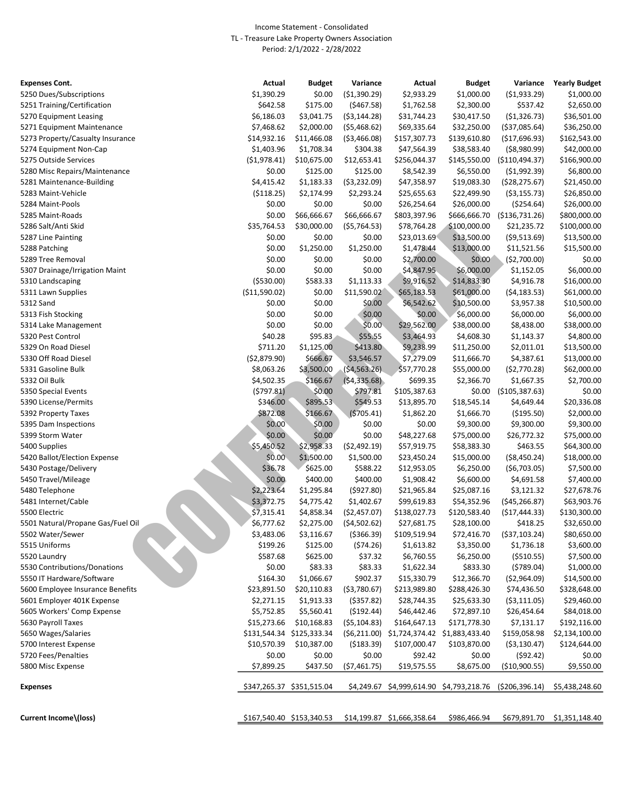| <b>Expenses Cont.</b>             | Actual         | <b>Budget</b>             | Variance      | Actual                                     | Budget       | Variance           | <b>Yearly Budget</b>        |
|-----------------------------------|----------------|---------------------------|---------------|--------------------------------------------|--------------|--------------------|-----------------------------|
| 5250 Dues/Subscriptions           | \$1,390.29     | \$0.00                    | (\$1,390.29)  | \$2,933.29                                 | \$1,000.00   | ( \$1,933.29)      | \$1,000.00                  |
| 5251 Training/Certification       | \$642.58       | \$175.00                  | ( \$467.58)   | \$1,762.58                                 | \$2,300.00   | \$537.42           | \$2,650.00                  |
| 5270 Equipment Leasing            | \$6,186.03     | \$3,041.75                | ( \$3,144.28) | \$31,744.23                                | \$30,417.50  | ( \$1,326.73)      | \$36,501.00                 |
| 5271 Equipment Maintenance        | \$7,468.62     | \$2,000.00                | (55, 468.62)  | \$69,335.64                                | \$32,250.00  | ( \$37,085.64)     | \$36,250.00                 |
| 5273 Property/Casualty Insurance  | \$14,932.16    | \$11,466.08               | ( \$3,466.08) | \$157,307.73                               | \$139,610.80 | (\$17,696.93)      | \$162,543.00                |
| 5274 Equipment Non-Cap            | \$1,403.96     | \$1,708.34                | \$304.38      | \$47,564.39                                | \$38,583.40  | ( \$8,980.99)      | \$42,000.00                 |
| 5275 Outside Services             | (51, 978.41)   | \$10,675.00               | \$12,653.41   | \$256,044.37                               | \$145,550.00 | ( \$110,494.37)    | \$166,900.00                |
| 5280 Misc Repairs/Maintenance     | \$0.00         | \$125.00                  | \$125.00      | \$8,542.39                                 | \$6,550.00   | ( \$1,992.39)      | \$6,800.00                  |
| 5281 Maintenance-Building         | \$4,415.42     | \$1,183.33                | ( \$3,232.09) | \$47,358.97                                | \$19,083.30  | ( \$28, 275.67)    | \$21,450.00                 |
| 5283 Maint-Vehicle                | ( \$118.25)    | \$2,174.99                | \$2,293.24    | \$25,655.63                                | \$22,499.90  | $($ \$3,155.73 $)$ | \$26,850.00                 |
| 5284 Maint-Pools                  | \$0.00         | \$0.00                    | \$0.00        | \$26,254.64                                | \$26,000.00  | ( \$254.64)        | \$26,000.00                 |
| 5285 Maint-Roads                  | \$0.00         | \$66,666.67               | \$66,666.67   | \$803,397.96                               | \$666,666.70 | ( \$136, 731.26)   | \$800,000.00                |
| 5286 Salt/Anti Skid               | \$35,764.53    | \$30,000.00               | (55, 764.53)  | \$78,764.28                                | \$100,000.00 | \$21,235.72        | \$100,000.00                |
| 5287 Line Painting                | \$0.00         | \$0.00                    | \$0.00        | \$23,013.69                                | \$13,500.00  | (59,513.69)        | \$13,500.00                 |
| 5288 Patching                     | \$0.00         | \$1,250.00                | \$1,250.00    | \$1,478.44                                 | \$13,000.00  | \$11,521.56        | \$15,500.00                 |
| 5289 Tree Removal                 | \$0.00         | \$0.00                    | \$0.00        | \$2,700.00                                 | \$0.00       | (\$2,700.00)       | \$0.00                      |
| 5307 Drainage/Irrigation Maint    | \$0.00         | \$0.00                    | \$0.00        | \$4,847.95                                 | \$6,000.00   | \$1,152.05         | \$6,000.00                  |
| 5310 Landscaping                  | ( \$530.00)    | \$583.33                  | \$1,113.33    | \$9,916.52                                 | \$14,833.30  | \$4,916.78         | \$16,000.00                 |
| 5311 Lawn Supplies                | ( \$11,590.02) | \$0.00                    | \$11,590.02   | \$65,183.53                                | \$61,000.00  | (54, 183.53)       | \$61,000.00                 |
| 5312 Sand                         | \$0.00         | \$0.00                    | \$0.00        | \$6,542.62                                 | \$10,500.00  | \$3,957.38         | \$10,500.00                 |
| 5313 Fish Stocking                | \$0.00         | \$0.00                    | \$0.00        | \$0.00                                     | \$6,000.00   | \$6,000.00         | \$6,000.00                  |
| 5314 Lake Management              | \$0.00         | \$0.00                    | \$0.00        | \$29,562.00                                | \$38,000.00  | \$8,438.00         | \$38,000.00                 |
| 5320 Pest Control                 | \$40.28        | \$95.83                   | \$55.55       | \$3,464.93                                 | \$4,608.30   | \$1,143.37         | \$4,800.00                  |
| 5329 On Road Diesel               | \$711.20       | \$1,125.00                | \$413.80      | \$9,238.99                                 | \$11,250.00  | \$2,011.01         | \$13,500.00                 |
| 5330 Off Road Diesel              | (52,879.90)    | \$666.67                  | \$3,546.57    | \$7,279.09                                 | \$11,666.70  | \$4,387.61         | \$13,000.00                 |
| 5331 Gasoline Bulk                | \$8,063.26     | \$3,500.00                | ( \$4,563.26) | \$57,770.28                                | \$55,000.00  | (\$2,770.28)       | \$62,000.00                 |
| 5332 Oil Bulk                     | \$4,502.35     | \$166.67                  | (54, 335.68)  | \$699.35                                   | \$2,366.70   | \$1,667.35         | \$2,700.00                  |
| 5350 Special Events               | (5797.81)      | \$0.00                    | \$797.81      | \$105,387.63                               | \$0.00       | ( \$105, 387.63)   | \$0.00                      |
| 5390 License/Permits              | \$346.00       | \$895.53                  | \$549.53      | \$13,895.70                                | \$18,545.14  | \$4,649.44         | \$20,336.08                 |
| 5392 Property Taxes               | \$872.08       | \$166.67                  | (5705.41)     | \$1,862.20                                 | \$1,666.70   | ( \$195.50)        | \$2,000.00                  |
| 5395 Dam Inspections              | \$0.00         | \$0.00                    | \$0.00        | \$0.00                                     | \$9,300.00   | \$9,300.00         | \$9,300.00                  |
| 5399 Storm Water                  | \$0.00         | \$0.00                    | \$0.00        | \$48,227.68                                | \$75,000.00  | \$26,772.32        | \$75,000.00                 |
| 5400 Supplies                     | \$5,450.52     | \$2,958.33                | (52, 492.19)  | \$57,919.75                                | \$58,383.30  | \$463.55           | \$64,300.00                 |
| 5420 Ballot/Election Expense      | \$0.00         | \$1,500.00                | \$1,500.00    | \$23,450.24                                | \$15,000.00  | ( \$8,450.24)      | \$18,000.00                 |
| 5430 Postage/Delivery             | \$36.78        | \$625.00                  | \$588.22      | \$12,953.05                                | \$6,250.00   | (56,703.05)        | \$7,500.00                  |
| 5450 Travel/Mileage               | \$0.00         | \$400.00                  | \$400.00      | \$1,908.42                                 | \$6,600.00   | \$4,691.58         | \$7,400.00                  |
| 5480 Telephone                    | \$2,223.64     | \$1,295.84                | (5927.80)     | \$21,965.84                                | \$25,087.16  | \$3,121.32         | \$27,678.76                 |
| 5481 Internet/Cable               | \$3,372.75     | \$4,775.42                | \$1,402.67    | \$99,619.83                                | \$54,352.96  | $($ \$45,266.87)   | \$63,903.76                 |
| 5500 Electric                     | \$7,315.41     | \$4,858.34                | ( \$2,457.07) | \$138,027.73                               | \$120,583.40 | (\$17,444.33)      | \$130,300.00                |
| 5501 Natural/Propane Gas/Fuel Oil | \$6,777.62     | \$2,275.00                | (54, 502.62)  | \$27,681.75                                | \$28,100.00  | \$418.25           | \$32,650.00                 |
| 5502 Water/Sewer                  | \$3,483.06     | \$3,116.67                | ( \$366.39)   | \$109,519.94                               | \$72,416.70  | ( \$37,103.24)     | \$80,650.00                 |
| 5515 Uniforms                     | \$199.26       | \$125.00                  | (574.26)      | \$1,613.82                                 | \$3,350.00   | \$1,736.18         | \$3,600.00                  |
| 5520 Laundry                      | \$587.68       | \$625.00                  | \$37.32       | \$6,760.55                                 | \$6,250.00   | ( \$510.55)        | \$7,500.00                  |
| 5530 Contributions/Donations      | \$0.00         | \$83.33                   | \$83.33       | \$1,622.34                                 | \$833.30     | (5789.04)          | \$1,000.00                  |
| 5550 IT Hardware/Software         | \$164.30       | \$1,066.67                | \$902.37      | \$15,330.79                                | \$12,366.70  | ( \$2,964.09)      | \$14,500.00                 |
| 5600 Employee Insurance Benefits  | \$23,891.50    | \$20,110.83               | ( \$3,780.67) | \$213,989.80                               | \$288,426.30 | \$74,436.50        | \$328,648.00                |
| 5601 Employer 401K Expense        | \$2,271.15     | \$1,913.33                | ( \$357.82)   | \$28,744.35                                | \$25,633.30  | ( \$3,111.05)      | \$29,460.00                 |
| 5605 Workers' Comp Expense        | \$5,752.85     | \$5,560.41                | (\$192.44)    | \$46,442.46                                | \$72,897.10  | \$26,454.64        | \$84,018.00                 |
| 5630 Payroll Taxes                | \$15,273.66    | \$10,168.83               | (55, 104.83)  | \$164,647.13                               | \$171,778.30 | \$7,131.17         | \$192,116.00                |
| 5650 Wages/Salaries               |                | \$131,544.34 \$125,333.34 |               | (\$6,211.00) \$1,724,374.42 \$1,883,433.40 |              | \$159,058.98       | \$2,134,100.00              |
| 5700 Interest Expense             | \$10,570.39    | \$10,387.00               | ( \$183.39)   | \$107,000.47                               | \$103,870.00 | ( \$3,130.47)      | \$124,644.00                |
| 5720 Fees/Penalties               | \$0.00         | \$0.00                    | \$0.00        | \$92.42                                    | \$0.00       | (592.42)           | \$0.00                      |
| 5800 Misc Expense                 | \$7,899.25     | \$437.50                  | ( \$7,461.75) | \$19,575.55                                | \$8,675.00   | (\$10,900.55)      | \$9,550.00                  |
| <b>Expenses</b>                   |                | \$347,265.37 \$351,515.04 |               | \$4,249.67 \$4,999,614.90 \$4,793,218.76   |              | ( \$206, 396.14)   | \$5,438,248.60              |
|                                   |                |                           |               |                                            |              |                    |                             |
| Current Income\(loss)             |                | \$167,540.40 \$153,340.53 |               | \$14,199.87 \$1,666,358.64                 | \$986,466.94 |                    | \$679,891.70 \$1,351,148.40 |